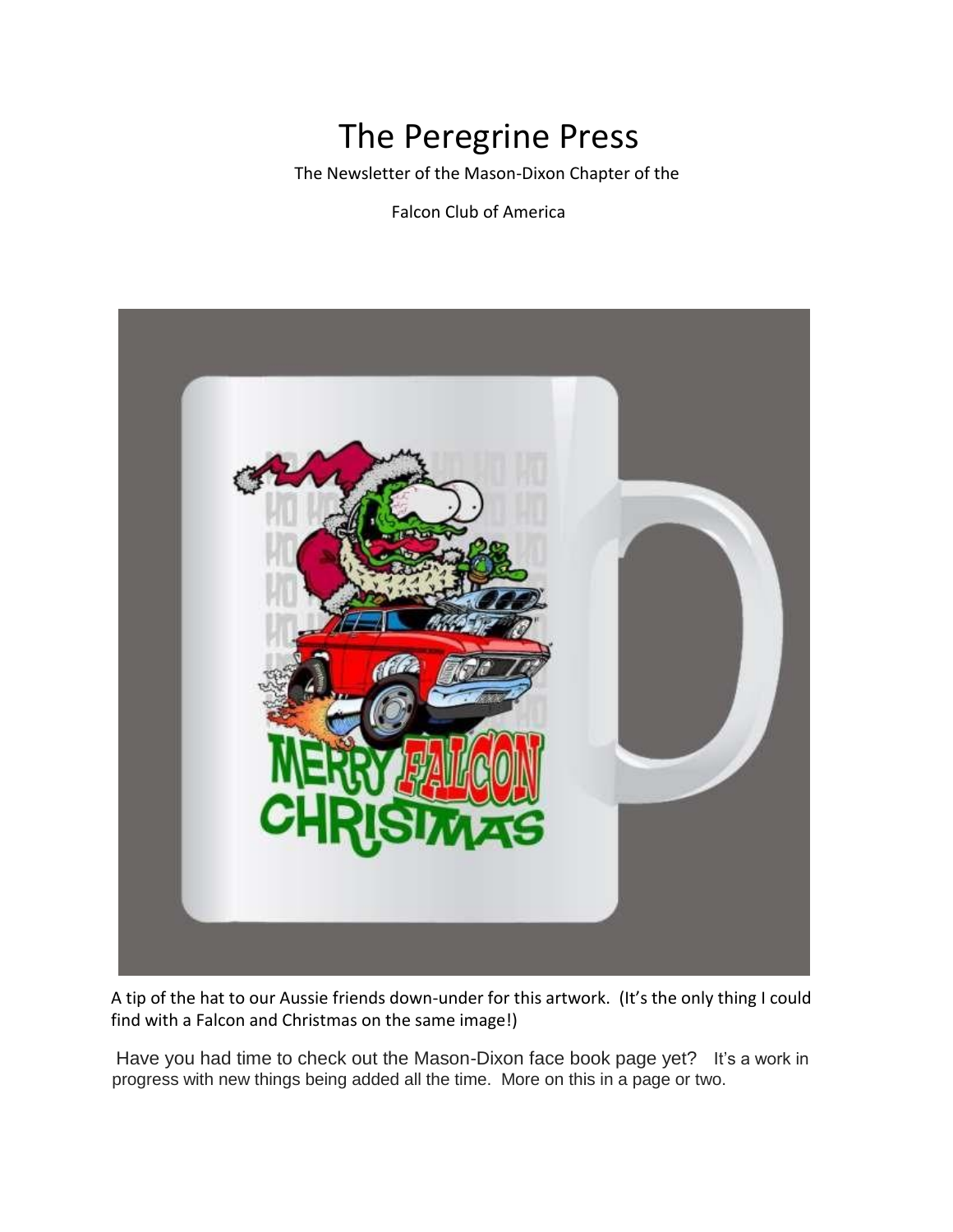# The Peregrine Press

The Newsletter of the Mason-Dixon Chapter of the

Falcon Club of America



A tip of the hat to our Aussie friends down-under for this artwork. (It's the only thing I could find with a Falcon and Christmas on the same image!)

Have you had time to check out the Mason-Dixon face book page yet? It's a work in progress with new things being added all the time. More on this in a page or two.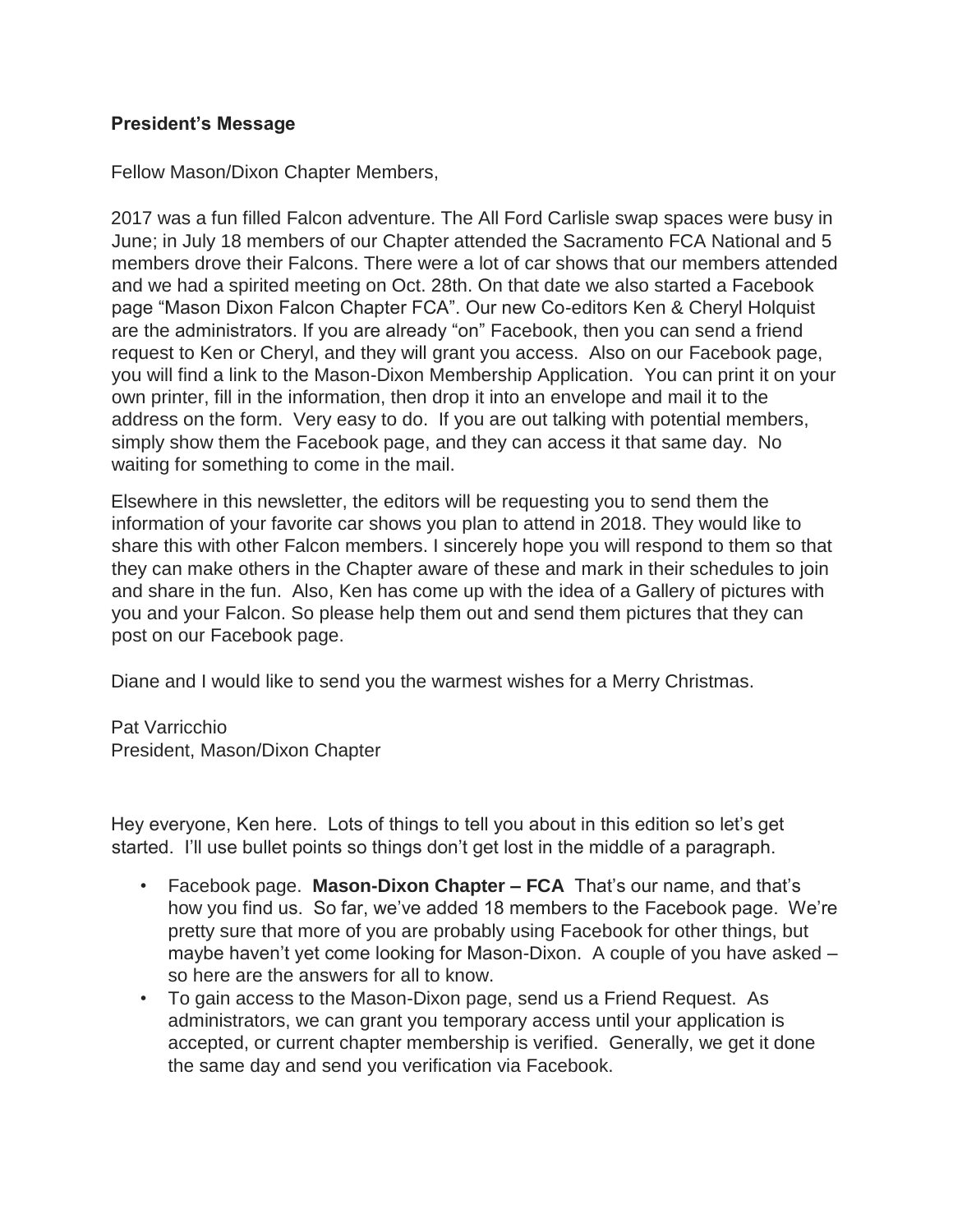#### **President's Message**

Fellow Mason/Dixon Chapter Members,

2017 was a fun filled Falcon adventure. The All Ford Carlisle swap spaces were busy in June; in July 18 members of our Chapter attended the Sacramento FCA National and 5 members drove their Falcons. There were a lot of car shows that our members attended and we had a spirited meeting on Oct. 28th. On that date we also started a Facebook page "Mason Dixon Falcon Chapter FCA". Our new Co-editors Ken & Cheryl Holquist are the administrators. If you are already "on" Facebook, then you can send a friend request to Ken or Cheryl, and they will grant you access. Also on our Facebook page, you will find a link to the Mason-Dixon Membership Application. You can print it on your own printer, fill in the information, then drop it into an envelope and mail it to the address on the form. Very easy to do. If you are out talking with potential members, simply show them the Facebook page, and they can access it that same day. No waiting for something to come in the mail.

Elsewhere in this newsletter, the editors will be requesting you to send them the information of your favorite car shows you plan to attend in 2018. They would like to share this with other Falcon members. I sincerely hope you will respond to them so that they can make others in the Chapter aware of these and mark in their schedules to join and share in the fun. Also, Ken has come up with the idea of a Gallery of pictures with you and your Falcon. So please help them out and send them pictures that they can post on our Facebook page.

Diane and I would like to send you the warmest wishes for a Merry Christmas.

Pat Varricchio President, Mason/Dixon Chapter

Hey everyone, Ken here. Lots of things to tell you about in this edition so let's get started. I'll use bullet points so things don't get lost in the middle of a paragraph.

- Facebook page. **Mason-Dixon Chapter – FCA** That's our name, and that's how you find us. So far, we've added 18 members to the Facebook page. We're pretty sure that more of you are probably using Facebook for other things, but maybe haven't yet come looking for Mason-Dixon. A couple of you have asked – so here are the answers for all to know.
- To gain access to the Mason-Dixon page, send us a Friend Request. As administrators, we can grant you temporary access until your application is accepted, or current chapter membership is verified. Generally, we get it done the same day and send you verification via Facebook.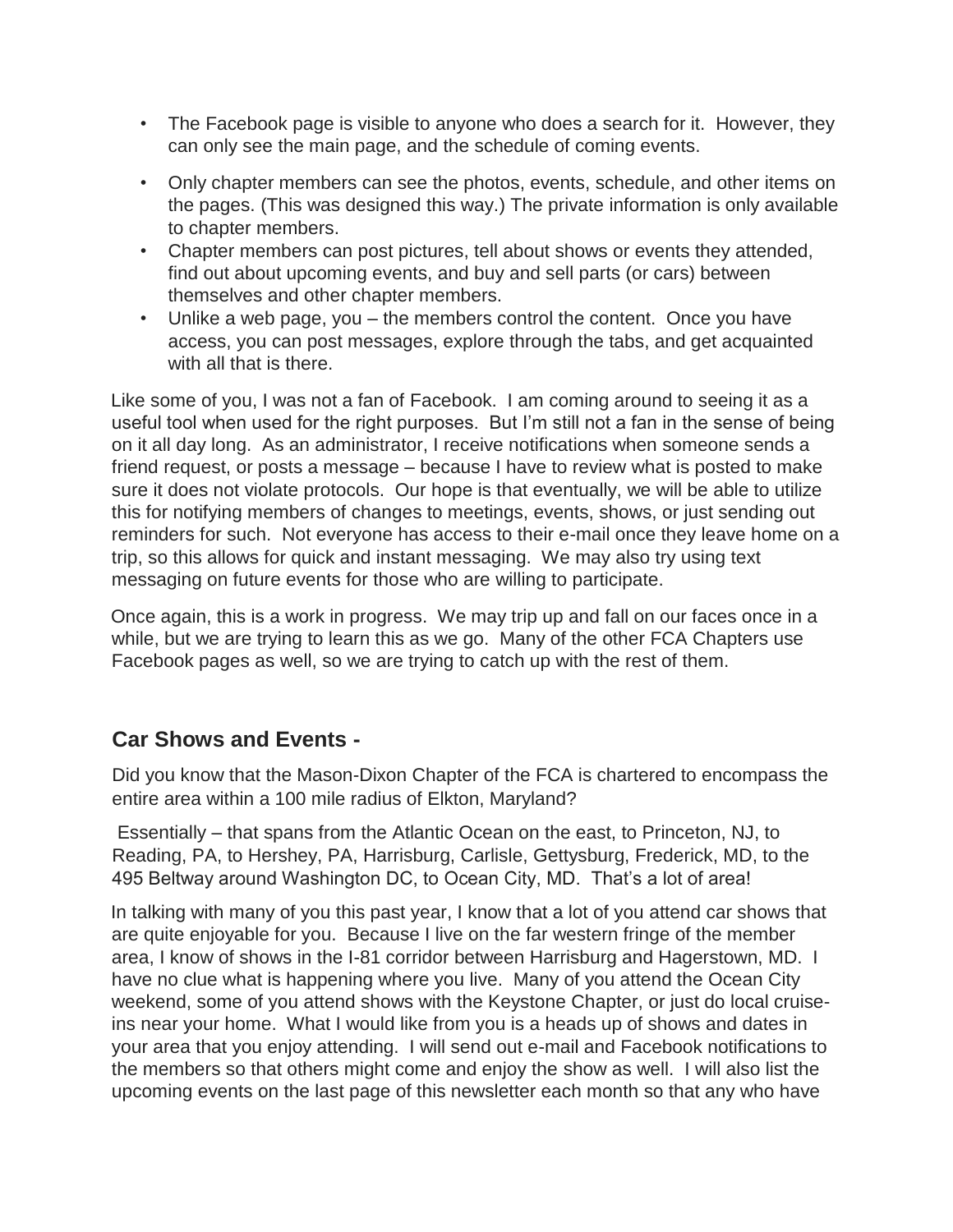- The Facebook page is visible to anyone who does a search for it. However, they can only see the main page, and the schedule of coming events.
- Only chapter members can see the photos, events, schedule, and other items on the pages. (This was designed this way.) The private information is only available to chapter members.
- Chapter members can post pictures, tell about shows or events they attended, find out about upcoming events, and buy and sell parts (or cars) between themselves and other chapter members.
- Unlike a web page, you the members control the content. Once you have access, you can post messages, explore through the tabs, and get acquainted with all that is there.

Like some of you, I was not a fan of Facebook. I am coming around to seeing it as a useful tool when used for the right purposes. But I'm still not a fan in the sense of being on it all day long. As an administrator, I receive notifications when someone sends a friend request, or posts a message – because I have to review what is posted to make sure it does not violate protocols. Our hope is that eventually, we will be able to utilize this for notifying members of changes to meetings, events, shows, or just sending out reminders for such. Not everyone has access to their e-mail once they leave home on a trip, so this allows for quick and instant messaging. We may also try using text messaging on future events for those who are willing to participate.

Once again, this is a work in progress. We may trip up and fall on our faces once in a while, but we are trying to learn this as we go. Many of the other FCA Chapters use Facebook pages as well, so we are trying to catch up with the rest of them.

# **Car Shows and Events -**

Did you know that the Mason-Dixon Chapter of the FCA is chartered to encompass the entire area within a 100 mile radius of Elkton, Maryland?

Essentially – that spans from the Atlantic Ocean on the east, to Princeton, NJ, to Reading, PA, to Hershey, PA, Harrisburg, Carlisle, Gettysburg, Frederick, MD, to the 495 Beltway around Washington DC, to Ocean City, MD. That's a lot of area!

In talking with many of you this past year, I know that a lot of you attend car shows that are quite enjoyable for you. Because I live on the far western fringe of the member area, I know of shows in the I-81 corridor between Harrisburg and Hagerstown, MD. I have no clue what is happening where you live. Many of you attend the Ocean City weekend, some of you attend shows with the Keystone Chapter, or just do local cruiseins near your home. What I would like from you is a heads up of shows and dates in your area that you enjoy attending. I will send out e-mail and Facebook notifications to the members so that others might come and enjoy the show as well. I will also list the upcoming events on the last page of this newsletter each month so that any who have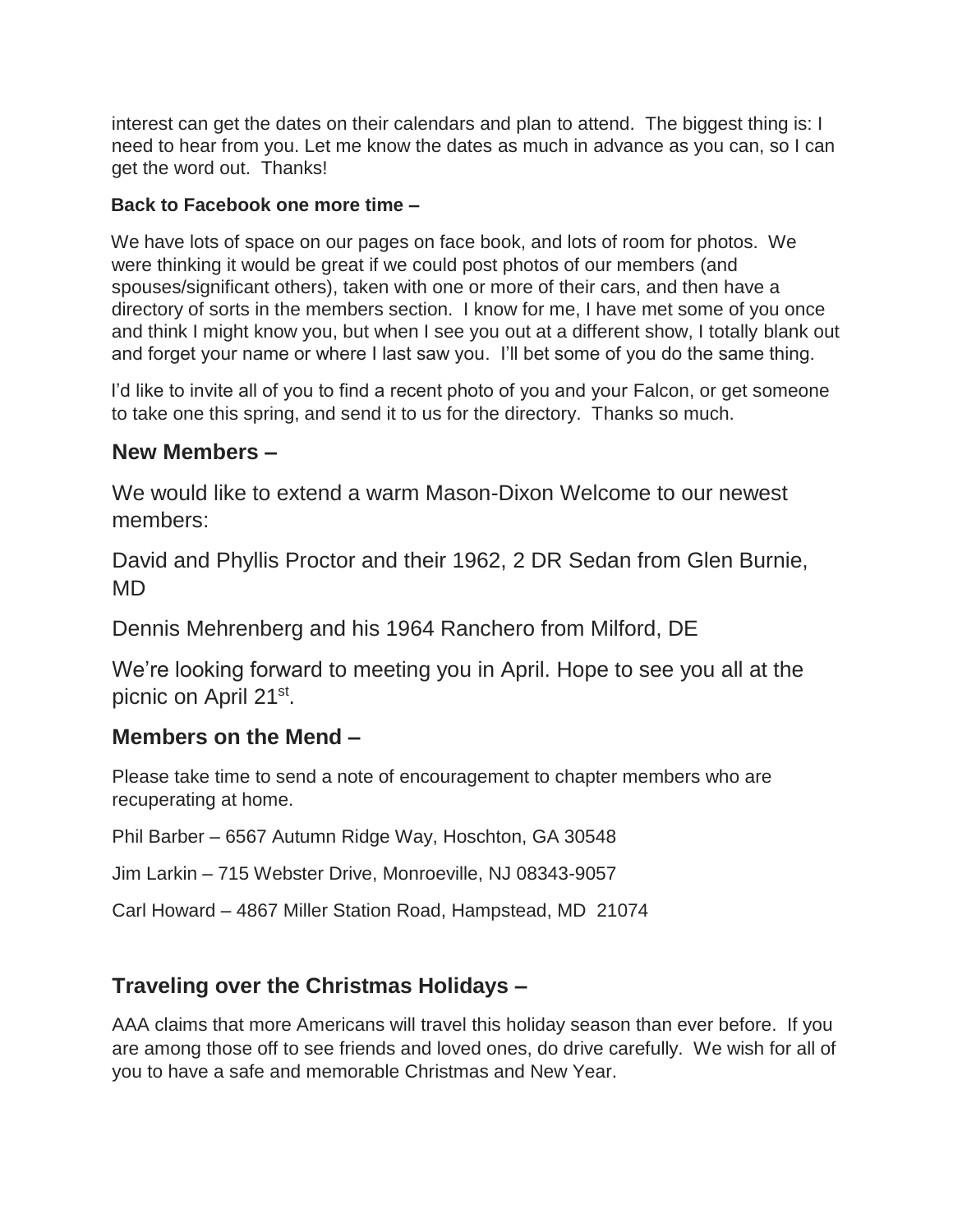interest can get the dates on their calendars and plan to attend. The biggest thing is: I need to hear from you. Let me know the dates as much in advance as you can, so I can get the word out. Thanks!

#### **Back to Facebook one more time –**

We have lots of space on our pages on face book, and lots of room for photos. We were thinking it would be great if we could post photos of our members (and spouses/significant others), taken with one or more of their cars, and then have a directory of sorts in the members section. I know for me, I have met some of you once and think I might know you, but when I see you out at a different show, I totally blank out and forget your name or where I last saw you. I'll bet some of you do the same thing.

I'd like to invite all of you to find a recent photo of you and your Falcon, or get someone to take one this spring, and send it to us for the directory. Thanks so much.

## **New Members –**

We would like to extend a warm Mason-Dixon Welcome to our newest members:

David and Phyllis Proctor and their 1962, 2 DR Sedan from Glen Burnie, MD

Dennis Mehrenberg and his 1964 Ranchero from Milford, DE

We're looking forward to meeting you in April. Hope to see you all at the picnic on April 21<sup>st</sup>.

## **Members on the Mend –**

Please take time to send a note of encouragement to chapter members who are recuperating at home.

Phil Barber – 6567 Autumn Ridge Way, Hoschton, GA 30548

Jim Larkin – 715 Webster Drive, Monroeville, NJ 08343-9057

Carl Howard – 4867 Miller Station Road, Hampstead, MD 21074

## **Traveling over the Christmas Holidays –**

AAA claims that more Americans will travel this holiday season than ever before. If you are among those off to see friends and loved ones, do drive carefully. We wish for all of you to have a safe and memorable Christmas and New Year.